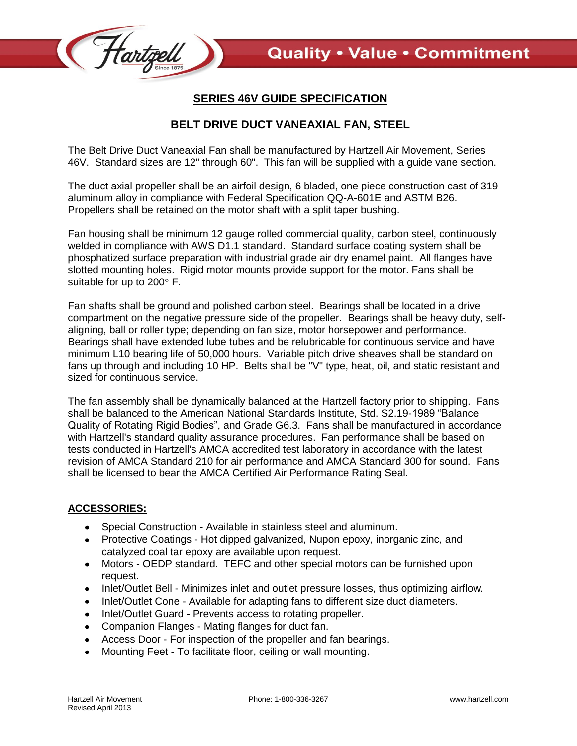

## **SERIES 46V GUIDE SPECIFICATION**

## **BELT DRIVE DUCT VANEAXIAL FAN, STEEL**

The Belt Drive Duct Vaneaxial Fan shall be manufactured by Hartzell Air Movement, Series 46V. Standard sizes are 12" through 60". This fan will be supplied with a guide vane section.

The duct axial propeller shall be an airfoil design, 6 bladed, one piece construction cast of 319 aluminum alloy in compliance with Federal Specification QQ-A-601E and ASTM B26. Propellers shall be retained on the motor shaft with a split taper bushing.

Fan housing shall be minimum 12 gauge rolled commercial quality, carbon steel, continuously welded in compliance with AWS D1.1 standard. Standard surface coating system shall be phosphatized surface preparation with industrial grade air dry enamel paint. All flanges have slotted mounting holes. Rigid motor mounts provide support for the motor. Fans shall be suitable for up to  $200^\circ$  F.

Fan shafts shall be ground and polished carbon steel. Bearings shall be located in a drive compartment on the negative pressure side of the propeller. Bearings shall be heavy duty, selfaligning, ball or roller type; depending on fan size, motor horsepower and performance. Bearings shall have extended lube tubes and be relubricable for continuous service and have minimum L10 bearing life of 50,000 hours. Variable pitch drive sheaves shall be standard on fans up through and including 10 HP. Belts shall be "V" type, heat, oil, and static resistant and sized for continuous service.

The fan assembly shall be dynamically balanced at the Hartzell factory prior to shipping. Fans shall be balanced to the American National Standards Institute, Std. S2.19-1989 "Balance Quality of Rotating Rigid Bodies", and Grade G6.3. Fans shall be manufactured in accordance with Hartzell's standard quality assurance procedures. Fan performance shall be based on tests conducted in Hartzell's AMCA accredited test laboratory in accordance with the latest revision of AMCA Standard 210 for air performance and AMCA Standard 300 for sound. Fans shall be licensed to bear the AMCA Certified Air Performance Rating Seal.

## **ACCESSORIES:**

- Special Construction Available in stainless steel and aluminum.
- Protective Coatings Hot dipped galvanized, Nupon epoxy, inorganic zinc, and catalyzed coal tar epoxy are available upon request.
- Motors OEDP standard. TEFC and other special motors can be furnished upon  $\bullet$ request.
- $\bullet$ Inlet/Outlet Bell - Minimizes inlet and outlet pressure losses, thus optimizing airflow.
- Inlet/Outlet Cone Available for adapting fans to different size duct diameters.
- Inlet/Outlet Guard Prevents access to rotating propeller.
- Companion Flanges Mating flanges for duct fan.
- Access Door For inspection of the propeller and fan bearings.  $\bullet$
- Mounting Feet To facilitate floor, ceiling or wall mounting.